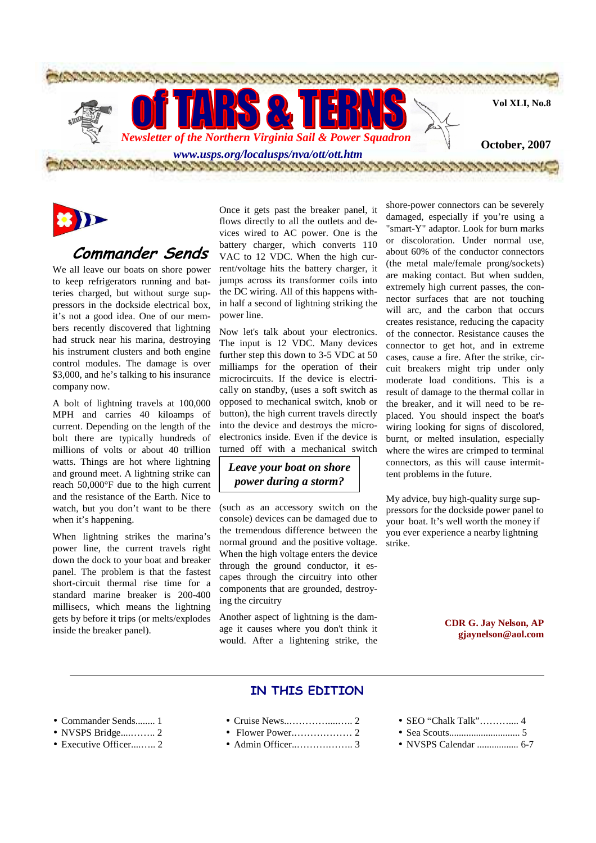

# **Commander Sends**

We all leave our boats on shore power to keep refrigerators running and batteries charged, but without surge suppressors in the dockside electrical box, it's not a good idea. One of our members recently discovered that lightning had struck near his marina, destroying his instrument clusters and both engine control modules. The damage is over \$3,000, and he's talking to his insurance company now.

A bolt of lightning travels at 100,000 MPH and carries 40 kiloamps of current. Depending on the length of the bolt there are typically hundreds of millions of volts or about 40 trillion watts. Things are hot where lightning and ground meet. A lightning strike can reach 50,000°F due to the high current and the resistance of the Earth. Nice to watch, but you don't want to be there when it's happening.

When lightning strikes the marina's power line, the current travels right down the dock to your boat and breaker panel. The problem is that the fastest short-circuit thermal rise time for a standard marine breaker is 200-400 millisecs, which means the lightning gets by before it trips (or melts/explodes inside the breaker panel).

Once it gets past the breaker panel, it flows directly to all the outlets and devices wired to AC power. One is the battery charger, which converts 110 VAC to 12 VDC. When the high current/voltage hits the battery charger, it jumps across its transformer coils into the DC wiring. All of this happens within half a second of lightning striking the power line.

Now let's talk about your electronics. The input is 12 VDC. Many devices further step this down to 3-5 VDC at 50 milliamps for the operation of their microcircuits. If the device is electrically on standby, (uses a soft switch as opposed to mechanical switch, knob or button), the high current travels directly into the device and destroys the microelectronics inside. Even if the device is turned off with a mechanical switch

#### *Leave your boat on shore power during a storm?*

(such as an accessory switch on the console) devices can be damaged due to the tremendous difference between the normal ground and the positive voltage. When the high voltage enters the device through the ground conductor, it escapes through the circuitry into other components that are grounded, destroying the circuitry

Another aspect of lightning is the damage it causes where you don't think it would. After a lightening strike, the

shore-power connectors can be severely damaged, especially if you're using a "smart-Y" adaptor. Look for burn marks or discoloration. Under normal use, about 60% of the conductor connectors (the metal male/female prong/sockets) are making contact. But when sudden, extremely high current passes, the connector surfaces that are not touching will arc, and the carbon that occurs creates resistance, reducing the capacity of the connector. Resistance causes the connector to get hot, and in extreme cases, cause a fire. After the strike, circuit breakers might trip under only moderate load conditions. This is a result of damage to the thermal collar in the breaker, and it will need to be replaced. You should inspect the boat's wiring looking for signs of discolored, burnt, or melted insulation, especially where the wires are crimped to terminal connectors, as this will cause intermittent problems in the future.

My advice, buy high-quality surge suppressors for the dockside power panel to your boat. It's well worth the money if you ever experience a nearby lightning strike.

#### **CDR G. Jay Nelson, AP gjaynelson@aol.com**

### **IN THIS EDITION**

- Commander Sends........ 1
- NVSPS Bridge....…….. 2
- Executive Officer....….. 2
- Cruise News..…………....….. 2
- Flower Power.……………… 2
- Admin Officer..……….…….. 3
- SEO "Chalk Talk"………….. 4
- Sea Scouts............................. 5
- NVSPS Calendar ................. 6-7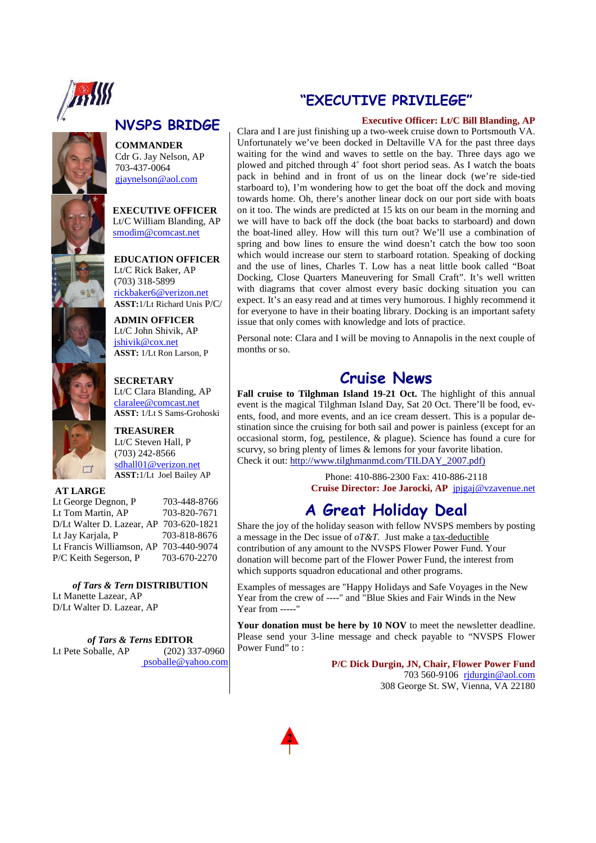

# **NVSPS BRIDGE**

**COMMANDER**  Cdr G. Jay Nelson, AP 703-437-0064 gjaynelson@aol.com

**EXECUTIVE OFFICER**  Lt/C William Blanding, AP smodim@comcast.net

**EDUCATION OFFICER**  Lt/C Rick Baker, AP (703) 318-5899 rickbaker6@verizon.net **ASST:**1/Lt Richard Unis P/C/

**ADMIN OFFICER**  Lt/C John Shivik, AP jshivik@cox.net **ASST:** 1/Lt Ron Larson, P



**SECRETARY**  Lt/C Clara Blanding, AP claralee@comcast.net **ASST:** 1/Lt S Sams-Grohoski

**TREASURER** Lt/C Steven Hall, P (703) 242-8566 sdhall01@verizon.net **ASST:**1/Lt Joel Bailey AP

### **AT LARGE**

Lt George Degnon, P 703-448-8766 Lt Tom Martin, AP 703-820-7671 D/Lt Walter D. Lazear, AP 703-620-1821 Lt Jav Kariala, P Lt Francis Williamson, AP 703-440-9074<br>P/C Keith Segerson, P 703-670-2270 P/C Keith Segerson, P

*of Tars & Tern* **DISTRIBUTION**  Lt Manette Lazear, AP D/Lt Walter D. Lazear, AP

*of Tars & Terns* **EDITOR**<br>
Soballe, AP (202) 337-0960 Lt Pete Soballe, AP psoballe@yahoo.com

# **"EXECUTIVE PRIVILEGE"**

#### **Executive Officer: Lt/C Bill Blanding, AP**

Clara and I are just finishing up a two-week cruise down to Portsmouth VA. Unfortunately we've been docked in Deltaville VA for the past three days waiting for the wind and waves to settle on the bay. Three days ago we plowed and pitched through 4<sup>+</sup> foot short period seas. As I watch the boats pack in behind and in front of us on the linear dock (we're side-tied starboard to), I'm wondering how to get the boat off the dock and moving towards home. Oh, there's another linear dock on our port side with boats on it too. The winds are predicted at 15 kts on our beam in the morning and we will have to back off the dock (the boat backs to starboard) and down the boat-lined alley. How will this turn out? We'll use a combination of spring and bow lines to ensure the wind doesn't catch the bow too soon which would increase our stern to starboard rotation. Speaking of docking and the use of lines, Charles T. Low has a neat little book called "Boat Docking, Close Quarters Maneuvering for Small Craft". It's well written with diagrams that cover almost every basic docking situation you can expect. It's an easy read and at times very humorous. I highly recommend it for everyone to have in their boating library. Docking is an important safety issue that only comes with knowledge and lots of practice.

Personal note: Clara and I will be moving to Annapolis in the next couple of months or so.

### **Cruise News**

**Fall cruise to Tilghman Island 19-21 Oct.** The highlight of this annual event is the magical Tilghman Island Day, Sat 20 Oct. There'll be food, events, food, and more events, and an ice cream dessert. This is a popular destination since the cruising for both sail and power is painless (except for an occasional storm, fog, pestilence, & plague). Science has found a cure for scurvy, so bring plenty of limes & lemons for your favorite libation. Check it out: http://www.tilghmanmd.com/TILDAY\_2007.pdf)

> Phone: 410-886-2300 Fax: 410-886-2118 **Cruise Director: Joe Jarocki, AP** jpjgaj@vzavenue.net

# **A Great Holiday Deal**

Share the joy of the holiday season with fellow NVSPS members by posting a message in the Dec issue of *oT&T.* Just make a tax-deductible contribution of any amount to the NVSPS Flower Power Fund. Your donation will become part of the Flower Power Fund, the interest from which supports squadron educational and other programs.

Examples of messages are "Happy Holidays and Safe Voyages in the New Year from the crew of ----" and "Blue Skies and Fair Winds in the New  $Y<sub>ear</sub>$  from  $---$ 

Your donation must be here by 10 NOV to meet the newsletter deadline. Please send your 3-line message and check payable to "NVSPS Flower Power Fund" to:

> **P/C Dick Durgin, JN, Chair, Flower Power Fund**  703 560-9106 rjdurgin@aol.com 308 George St. SW, Vienna, VA 22180

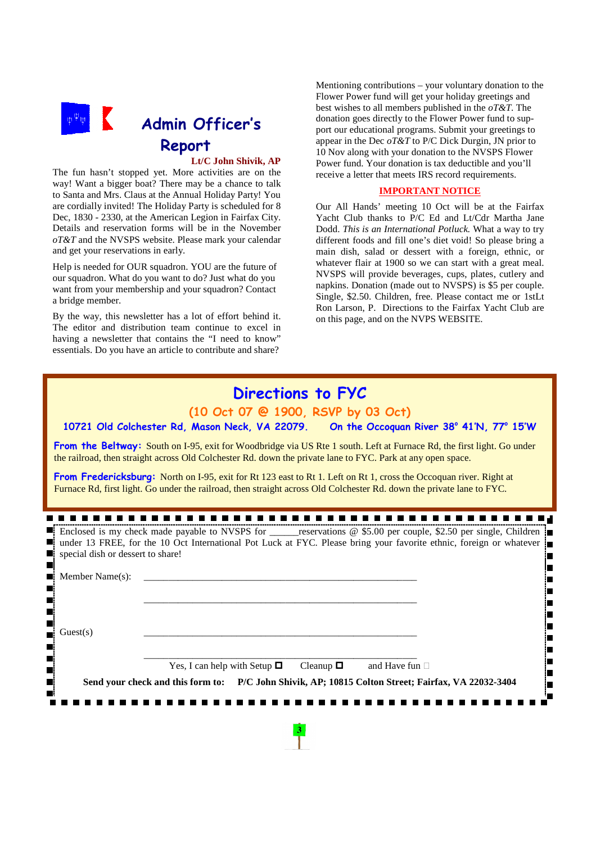

### **Lt/C John Shivik, AP**

The fun hasn't stopped yet. More activities are on the way! Want a bigger boat? There may be a chance to talk to Santa and Mrs. Claus at the Annual Holiday Party! You are cordially invited! The Holiday Party is scheduled for 8 Dec, 1830 - 2330, at the American Legion in Fairfax City. Details and reservation forms will be in the November *oT&T* and the NVSPS website. Please mark your calendar and get your reservations in early.

Help is needed for OUR squadron. YOU are the future of our squadron. What do you want to do? Just what do you want from your membership and your squadron? Contact a bridge member.

By the way, this newsletter has a lot of effort behind it. The editor and distribution team continue to excel in having a newsletter that contains the "I need to know" essentials. Do you have an article to contribute and share?

Mentioning contributions – your voluntary donation to the Flower Power fund will get your holiday greetings and best wishes to all members published in the *oT&T*. The donation goes directly to the Flower Power fund to support our educational programs. Submit your greetings to appear in the Dec *oT&T* to P/C Dick Durgin, JN prior to 10 Nov along with your donation to the NVSPS Flower Power fund. Your donation is tax deductible and you'll receive a letter that meets IRS record requirements.

#### **IMPORTANT NOTICE**

Our All Hands' meeting 10 Oct will be at the Fairfax Yacht Club thanks to P/C Ed and Lt/Cdr Martha Jane Dodd. *This is an International Potluck.* What a way to try different foods and fill one's diet void! So please bring a main dish, salad or dessert with a foreign, ethnic, or whatever flair at 1900 so we can start with a great meal. NVSPS will provide beverages, cups, plates, cutlery and napkins. Donation (made out to NVSPS) is \$5 per couple. Single, \$2.50. Children, free. Please contact me or 1stLt Ron Larson, P. Directions to the Fairfax Yacht Club are on this page, and on the NVPS WEBSITE.

# **Directions to FYC**

**(10 Oct 07 @ 1900, RSVP by 03 Oct)**

10721 Old Colchester Rd, Mason Neck, VA 22079.  **41'N, 77<sup>o</sup> 15'W**

**From the Beltway:** South on I-95, exit for Woodbridge via US Rte 1 south. Left at Furnace Rd, the first light. Go under the railroad, then straight across Old Colchester Rd. down the private lane to FYC. Park at any open space.

**From Fredericksburg:** North on I-95, exit for Rt 123 east to Rt 1. Left on Rt 1, cross the Occoquan river. Right at Furnace Rd, first light. Go under the railroad, then straight across Old Colchester Rd. down the private lane to FYC.

|                                                  | Enclosed is my check made payable to NVSPS for ______reservations @ \$5.00 per couple, \$2.50 per single, Children<br>$\blacksquare$ under 13 FREE, for the 10 Oct International Pot Luck at FYC. Please bring your favorite ethnic, foreign or whatever $\blacksquare$ |  |                     |  |
|--------------------------------------------------|-------------------------------------------------------------------------------------------------------------------------------------------------------------------------------------------------------------------------------------------------------------------------|--|---------------------|--|
| $\blacksquare$ special dish or dessert to share! |                                                                                                                                                                                                                                                                         |  |                     |  |
| Member Name(s):                                  |                                                                                                                                                                                                                                                                         |  |                     |  |
|                                                  |                                                                                                                                                                                                                                                                         |  |                     |  |
|                                                  |                                                                                                                                                                                                                                                                         |  |                     |  |
| Guest(s)                                         |                                                                                                                                                                                                                                                                         |  |                     |  |
|                                                  |                                                                                                                                                                                                                                                                         |  |                     |  |
|                                                  | Yes, I can help with Setup $\Box$ Cleanup $\Box$                                                                                                                                                                                                                        |  | and Have fun $\Box$ |  |
|                                                  | Send your check and this form to: P/C John Shivik, AP; 10815 Colton Street; Fairfax, VA 22032-3404                                                                                                                                                                      |  |                     |  |
|                                                  |                                                                                                                                                                                                                                                                         |  |                     |  |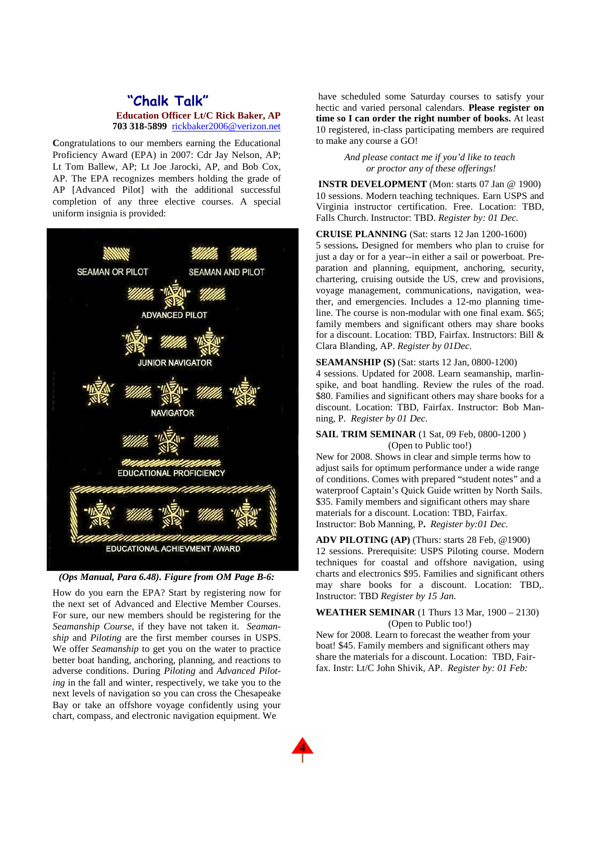### **"Chalk Talk" Education Officer Lt/C Rick Baker, AP 703 318-5899** rickbaker2006@verizon.net

**C**ongratulations to our members earning the Educational Proficiency Award (EPA) in 2007: Cdr Jay Nelson, AP; Lt Tom Ballew, AP; Lt Joe Jarocki, AP, and Bob Cox, AP. The EPA recognizes members holding the grade of AP [Advanced Pilot] with the additional successful completion of any three elective courses. A special uniform insignia is provided:



#### *(Ops Manual, Para 6.48). Figure from OM Page B-6:*

How do you earn the EPA? Start by registering now for the next set of Advanced and Elective Member Courses. For sure, our new members should be registering for the *Seamanship Course*, if they have not taken it. *Seamanship* and *Piloting* are the first member courses in USPS. We offer *Seamanship* to get you on the water to practice better boat handing, anchoring, planning, and reactions to adverse conditions. During *Piloting* and *Advanced Piloting* in the fall and winter, respectively, we take you to the next levels of navigation so you can cross the Chesapeake Bay or take an offshore voyage confidently using your chart, compass, and electronic navigation equipment. We

 have scheduled some Saturday courses to satisfy your hectic and varied personal calendars. **Please register on time so I can order the right number of books.** At least 10 registered, in-class participating members are required to make any course a GO!

> *And please contact me if you'd like to teach or proctor any of these offerings!*

**INSTR DEVELOPMENT** (Mon: starts 07 Jan @ 1900) 10 sessions. Modern teaching techniques. Earn USPS and Virginia instructor certification. Free. Location: TBD, Falls Church. Instructor: TBD. *Register by: 01 Dec.*

**CRUISE PLANNING** (Sat: starts 12 Jan 1200-1600) 5 sessions**.** Designed for members who plan to cruise for just a day or for a year--in either a sail or powerboat. Preparation and planning, equipment, anchoring, security, chartering, cruising outside the US, crew and provisions, voyage management, communications, navigation, weather, and emergencies. Includes a 12-mo planning timeline. The course is non-modular with one final exam. \$65; family members and significant others may share books for a discount. Location: TBD, Fairfax. Instructors: Bill & Clara Blanding, AP. *Register by 01Dec.*

#### **SEAMANSHIP (S)** (Sat: starts 12 Jan, 0800-1200)

4 sessions. Updated for 2008. Learn seamanship, marlinspike, and boat handling. Review the rules of the road. \$80. Families and significant others may share books for a discount. Location: TBD, Fairfax. Instructor: Bob Manning, P. *Register by 01 Dec.* 

#### **SAIL TRIM SEMINAR** (1 Sat, 09 Feb, 0800-1200) (Open to Public too!)

New for 2008. Shows in clear and simple terms how to adjust sails for optimum performance under a wide range of conditions. Comes with prepared "student notes" and a waterproof Captain's Quick Guide written by North Sails. \$35. Family members and significant others may share materials for a discount. Location: TBD, Fairfax. Instructor: Bob Manning, P**.** *Register by:01 Dec.*

**ADV PILOTING (AP)** (Thurs: starts 28 Feb, @1900) 12 sessions. Prerequisite: USPS Piloting course. Modern techniques for coastal and offshore navigation, using charts and electronics \$95. Families and significant others may share books for a discount. Location: TBD,. Instructor: TBD *Register by 15 Jan.* 

#### **WEATHER SEMINAR** (1 Thurs 13 Mar, 1900 – 2130) (Open to Public too!)

New for 2008. Learn to forecast the weather from your boat! \$45. Family members and significant others may share the materials for a discount. Location: TBD, Fairfax. Instr: Lt/C John Shivik, AP. *Register by: 01 Feb:*

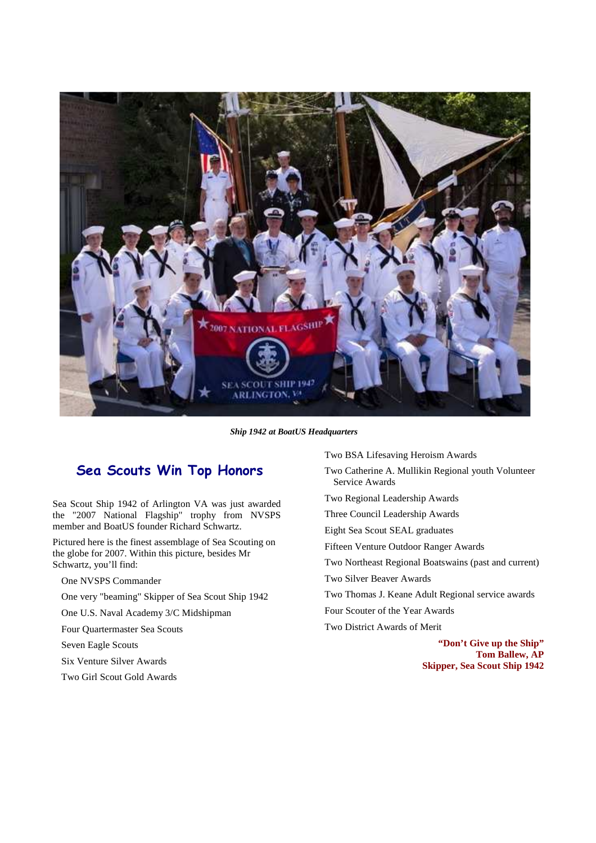

*Ship 1942 at BoatUS Headquarters*

### **Sea Scouts Win Top Honors**

Sea Scout Ship 1942 of Arlington VA was just awarded the "2007 National Flagship" trophy from NVSPS member and BoatUS founder Richard Schwartz.

Pictured here is the finest assemblage of Sea Scouting on the globe for 2007. Within this picture, besides Mr Schwartz, you'll find:

One NVSPS Commander

One very "beaming" Skipper of Sea Scout Ship 1942

One U.S. Naval Academy 3/C Midshipman

Four Quartermaster Sea Scouts

Seven Eagle Scouts

Six Venture Silver Awards

Two Girl Scout Gold Awards

Two BSA Lifesaving Heroism Awards

Two Catherine A. Mullikin Regional youth Volunteer Service Awards

Two Regional Leadership Awards

Three Council Leadership Awards

Eight Sea Scout SEAL graduates

Fifteen Venture Outdoor Ranger Awards

Two Northeast Regional Boatswains (past and current)

Two Silver Beaver Awards

Two Thomas J. Keane Adult Regional service awards

Four Scouter of the Year Awards

Two District Awards of Merit

**"Don't Give up the Ship" Tom Ballew, AP Skipper, Sea Scout Ship 1942**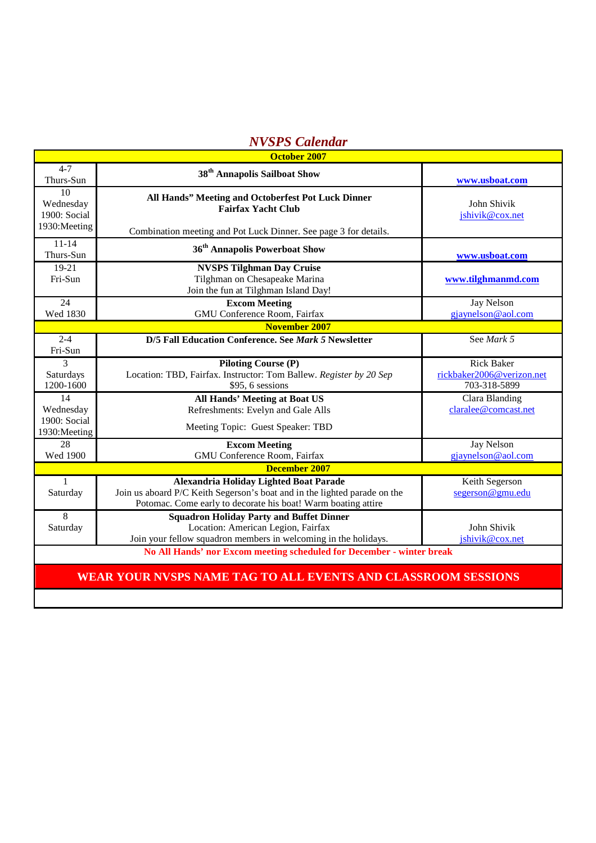# *NVSPS Calendar*

| <b>October 2007</b>                                                   |                                                                                                                                                                                             |                                                                |  |  |  |  |
|-----------------------------------------------------------------------|---------------------------------------------------------------------------------------------------------------------------------------------------------------------------------------------|----------------------------------------------------------------|--|--|--|--|
| $4 - 7$<br>Thurs-Sun                                                  | 38 <sup>th</sup> Annapolis Sailboat Show                                                                                                                                                    | www.usboat.com                                                 |  |  |  |  |
| 10<br>Wednesday<br>1900: Social<br>1930: Meeting                      | All Hands" Meeting and Octoberfest Pot Luck Dinner<br><b>Fairfax Yacht Club</b><br>Combination meeting and Pot Luck Dinner. See page 3 for details.                                         | John Shivik<br>jshivik@cox.net                                 |  |  |  |  |
| $11 - 14$<br>Thurs-Sun                                                | 36 <sup>th</sup> Annapolis Powerboat Show                                                                                                                                                   | www.usboat.com                                                 |  |  |  |  |
| $19-21$<br>Fri-Sun                                                    | <b>NVSPS Tilghman Day Cruise</b><br>Tilghman on Chesapeake Marina<br>Join the fun at Tilghman Island Day!                                                                                   | www.tilghmanmd.com                                             |  |  |  |  |
| 24<br>Wed 1830                                                        | <b>Excom Meeting</b><br>GMU Conference Room, Fairfax                                                                                                                                        | Jay Nelson<br>gjaynelson@aol.com                               |  |  |  |  |
| <b>November 2007</b>                                                  |                                                                                                                                                                                             |                                                                |  |  |  |  |
| $2 - 4$<br>Fri-Sun                                                    | D/5 Fall Education Conference. See Mark 5 Newsletter                                                                                                                                        | See Mark 5                                                     |  |  |  |  |
| $\overline{3}$<br>Saturdays<br>1200-1600                              | <b>Piloting Course (P)</b><br>Location: TBD, Fairfax. Instructor: Tom Ballew. Register by 20 Sep<br>\$95, 6 sessions                                                                        | <b>Rick Baker</b><br>rickbaker2006@verizon.net<br>703-318-5899 |  |  |  |  |
| 14<br>Wednesday                                                       | <b>All Hands' Meeting at Boat US</b><br>Refreshments: Evelyn and Gale Alls                                                                                                                  | Clara Blanding<br>claralee@comcast.net                         |  |  |  |  |
| 1900: Social<br>1930: Meeting                                         | Meeting Topic: Guest Speaker: TBD                                                                                                                                                           |                                                                |  |  |  |  |
| 28<br>Wed 1900                                                        | <b>Excom Meeting</b><br>GMU Conference Room, Fairfax                                                                                                                                        | Jay Nelson<br>gjaynelson@aol.com                               |  |  |  |  |
| <b>December 2007</b>                                                  |                                                                                                                                                                                             |                                                                |  |  |  |  |
| $\mathbf{1}$<br>Saturday                                              | <b>Alexandria Holiday Lighted Boat Parade</b><br>Join us aboard P/C Keith Segerson's boat and in the lighted parade on the<br>Potomac. Come early to decorate his boat! Warm boating attire | Keith Segerson<br>segerson@gmu.edu                             |  |  |  |  |
| $\overline{8}$<br>Saturday                                            | <b>Squadron Holiday Party and Buffet Dinner</b><br>Location: American Legion, Fairfax<br>Join your fellow squadron members in welcoming in the holidays.                                    | John Shivik<br>jshivik@cox.net                                 |  |  |  |  |
| No All Hands' nor Excom meeting scheduled for December - winter break |                                                                                                                                                                                             |                                                                |  |  |  |  |
| WEAR YOUR NVSPS NAME TAG TO ALL EVENTS AND CLASSROOM SESSIONS         |                                                                                                                                                                                             |                                                                |  |  |  |  |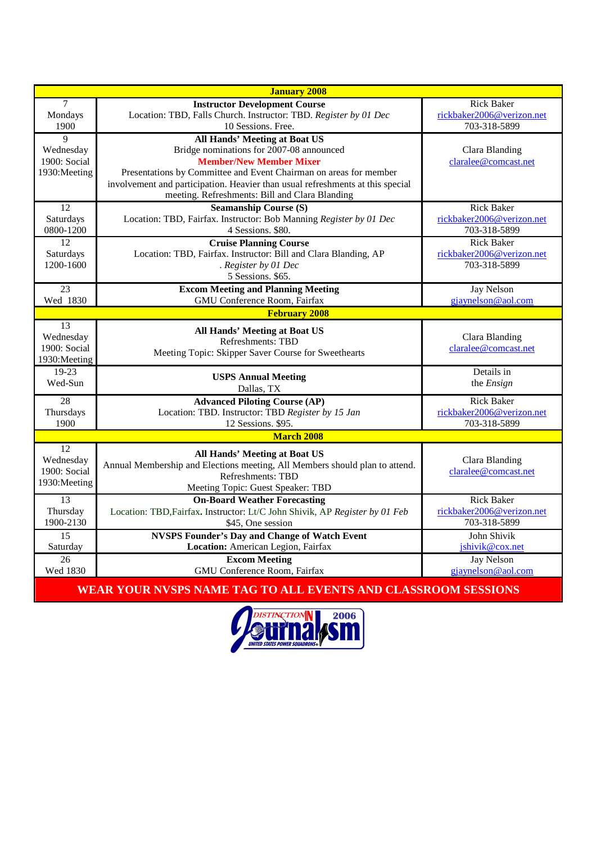| <b>January 2008</b>          |                                                                                                  |                                           |  |  |  |  |
|------------------------------|--------------------------------------------------------------------------------------------------|-------------------------------------------|--|--|--|--|
| $\overline{7}$               | <b>Instructor Development Course</b>                                                             | <b>Rick Baker</b>                         |  |  |  |  |
| Mondays<br>1900              | Location: TBD, Falls Church. Instructor: TBD. Register by 01 Dec<br>10 Sessions. Free.           | rickbaker2006@verizon.net<br>703-318-5899 |  |  |  |  |
| 9                            | <b>All Hands' Meeting at Boat US</b>                                                             |                                           |  |  |  |  |
| Wednesday                    | Bridge nominations for 2007-08 announced                                                         | Clara Blanding                            |  |  |  |  |
| 1900: Social                 | <b>Member/New Member Mixer</b>                                                                   | claralee@comcast.net                      |  |  |  |  |
| 1930: Meeting                | Presentations by Committee and Event Chairman on areas for member                                |                                           |  |  |  |  |
|                              | involvement and participation. Heavier than usual refreshments at this special                   |                                           |  |  |  |  |
|                              | meeting. Refreshments: Bill and Clara Blanding                                                   |                                           |  |  |  |  |
| 12                           | <b>Seamanship Course (S)</b>                                                                     | <b>Rick Baker</b>                         |  |  |  |  |
| Saturdays<br>0800-1200       | Location: TBD, Fairfax. Instructor: Bob Manning Register by 01 Dec<br>4 Sessions. \$80.          | rickbaker2006@verizon.net<br>703-318-5899 |  |  |  |  |
| 12                           | <b>Cruise Planning Course</b>                                                                    | <b>Rick Baker</b>                         |  |  |  |  |
| Saturdays                    | Location: TBD, Fairfax. Instructor: Bill and Clara Blanding, AP                                  | rickbaker2006@verizon.net                 |  |  |  |  |
| 1200-1600                    | . Register by 01 Dec                                                                             | 703-318-5899                              |  |  |  |  |
|                              | 5 Sessions. \$65.                                                                                |                                           |  |  |  |  |
| 23                           | <b>Excom Meeting and Planning Meeting</b>                                                        | Jay Nelson                                |  |  |  |  |
| Wed 1830                     | GMU Conference Room, Fairfax                                                                     | gjaynelson@aol.com                        |  |  |  |  |
| <b>February 2008</b>         |                                                                                                  |                                           |  |  |  |  |
| $\overline{13}$<br>Wednesday | <b>All Hands' Meeting at Boat US</b>                                                             | Clara Blanding                            |  |  |  |  |
| 1900: Social                 | Refreshments: TBD                                                                                | claralee@comcast.net                      |  |  |  |  |
| 1930: Meeting                | Meeting Topic: Skipper Saver Course for Sweethearts                                              |                                           |  |  |  |  |
| $19-23$                      | <b>USPS Annual Meeting</b>                                                                       | Details in                                |  |  |  |  |
| Wed-Sun                      | Dallas, TX                                                                                       | the <i>Ensign</i>                         |  |  |  |  |
| 28                           | <b>Advanced Piloting Course (AP)</b>                                                             | <b>Rick Baker</b>                         |  |  |  |  |
| Thursdays                    | Location: TBD. Instructor: TBD Register by 15 Jan                                                | rickbaker2006@verizon.net                 |  |  |  |  |
| 1900                         | 12 Sessions. \$95.                                                                               | 703-318-5899                              |  |  |  |  |
| <b>March 2008</b>            |                                                                                                  |                                           |  |  |  |  |
| 12                           | <b>All Hands' Meeting at Boat US</b>                                                             |                                           |  |  |  |  |
| Wednesday<br>1900: Social    | Annual Membership and Elections meeting, All Members should plan to attend.                      | Clara Blanding<br>claralee@comcast.net    |  |  |  |  |
| 1930: Meeting                | Refreshments: TBD                                                                                |                                           |  |  |  |  |
|                              | Meeting Topic: Guest Speaker: TBD                                                                |                                           |  |  |  |  |
| 13                           | <b>On-Board Weather Forecasting</b>                                                              | <b>Rick Baker</b>                         |  |  |  |  |
| Thursday<br>1900-2130        | Location: TBD, Fairfax. Instructor: Lt/C John Shivik, AP Register by 01 Feb<br>\$45, One session | rickbaker2006@verizon.net<br>703-318-5899 |  |  |  |  |
| $\overline{15}$              | <b>NVSPS Founder's Day and Change of Watch Event</b>                                             | John Shivik                               |  |  |  |  |
| Saturday                     | Location: American Legion, Fairfax                                                               | jshivik@cox.net                           |  |  |  |  |
| 26                           | <b>Excom Meeting</b>                                                                             | <b>Jay Nelson</b>                         |  |  |  |  |
| Wed 1830                     | <b>GMU Conference Room, Fairfax</b>                                                              | gjaynelson@aol.com                        |  |  |  |  |

**WEAR YOUR NVSPS NAME TAG TO ALL EVENTS AND CLASSROOM SESSIONS**